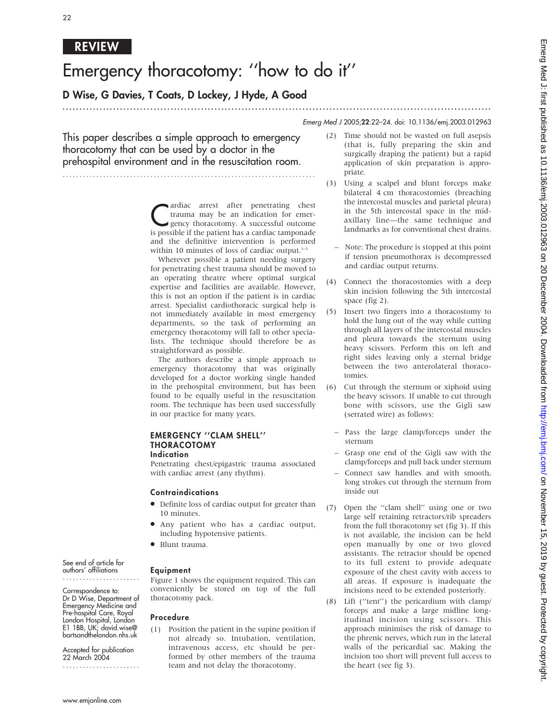## REVIEW

# Emergency thoracotomy: ''how to do it''

## D Wise, G Davies, T Coats, D Lockey, J Hyde, A Good

### ............................................................................................................................... Emerg Med J 2005;22:22–24. doi: 10.1136/emj.2003.012963

This paper describes a simple approach to emergency thoracotomy that can be used by a doctor in the prehospital environment and in the resuscitation room.

...........................................................................

ardiac arrest after penetrating chest<br>trauma may be an indication for emer-<br>gency thoracotomy. A successful outcome<br>is possible if the patient has a cardiac tampaned trauma may be an indication for emergency thoracotomy. A successful outcome is possible if the patient has a cardiac tamponade and the definitive intervention is performed within 10 minutes of loss of cardiac output. $1-3$ 

Wherever possible a patient needing surgery for penetrating chest trauma should be moved to an operating theatre where optimal surgical expertise and facilities are available. However, this is not an option if the patient is in cardiac arrest. Specialist cardiothoracic surgical help is not immediately available in most emergency departments, so the task of performing an emergency thoracotomy will fall to other specialists. The technique should therefore be as straightforward as possible.

The authors describe a simple approach to emergency thoracotomy that was originally developed for a doctor working single handed in the prehospital environment, but has been found to be equally useful in the resuscitation room. The technique has been used successfully in our practice for many years.

#### EMERGENCY ''CLAM SHELL'' THORACOTOMY Indication

Penetrating chest/epigastric trauma associated with cardiac arrest (any rhythm).

#### Contraindications

- $\bullet$  Definite loss of cardiac output for greater than 10 minutes.
- Any patient who has a cardiac output, including hypotensive patients.

Figure 1 shows the equipment required. This can conveniently be stored on top of the full

(1) Position the patient in the supine position if not already so. Intubation, ventilation, intravenous access, etc should be performed by other members of the trauma team and not delay the thoracotomy.

• Blunt trauma.

thoracotomy pack.

Equipment

Procedure

See end of article for authors' affiliations

Correspondence to: Dr D Wise, Department of Emergency Medicine and Pre-hospital Care, Royal London Hospital, London E1 1BB, UK; david.wise@ bartsandthelondon.nhs.uk

Accepted for publication 22 March 2004 .......................

- (2) Time should not be wasted on full asepsis (that is, fully preparing the skin and surgically draping the patient) but a rapid application of skin preparation is appropriate.
- (3) Using a scalpel and blunt forceps make bilateral 4 cm thoracostomies (breaching the intercostal muscles and parietal pleura) in the 5th intercostal space in the midaxillary line—the same technique and landmarks as for conventional chest drains.
	- Note: The procedure is stopped at this point if tension pneumothorax is decompressed and cardiac output returns.
- (4) Connect the thoracostomies with a deep skin incision following the 5th intercostal space (fig 2).
- (5) Insert two fingers into a thoracostomy to hold the lung out of the way while cutting through all layers of the intercostal muscles and pleura towards the sternum using heavy scissors. Perform this on left and right sides leaving only a sternal bridge between the two anterolateral thoracotomies.
- (6) Cut through the sternum or xiphoid using the heavy scissors. If unable to cut through bone with scissors, use the Gigli saw (serrated wire) as follows:
	- Pass the large clamp/forceps under the sternum
	- Grasp one end of the Gigli saw with the clamp/forceps and pull back under sternum
	- Connect saw handles and with smooth, long strokes cut through the sternum from inside out
- (7) Open the ''clam shell'' using one or two large self retaining retractors/rib spreaders from the full thoracotomy set (fig 3). If this is not available, the incision can be held open manually by one or two gloved assistants. The retractor should be opened to its full extent to provide adequate exposure of the chest cavity with access to all areas. If exposure is inadequate the incisions need to be extended posteriorly.
- (8) Lift (''tent'') the pericardium with clamp/ forceps and make a large midline longitudinal incision using scissors. This approach minimises the risk of damage to the phrenic nerves, which run in the lateral walls of the pericardial sac. Making the incision too short will prevent full access to the heart (see fig 3).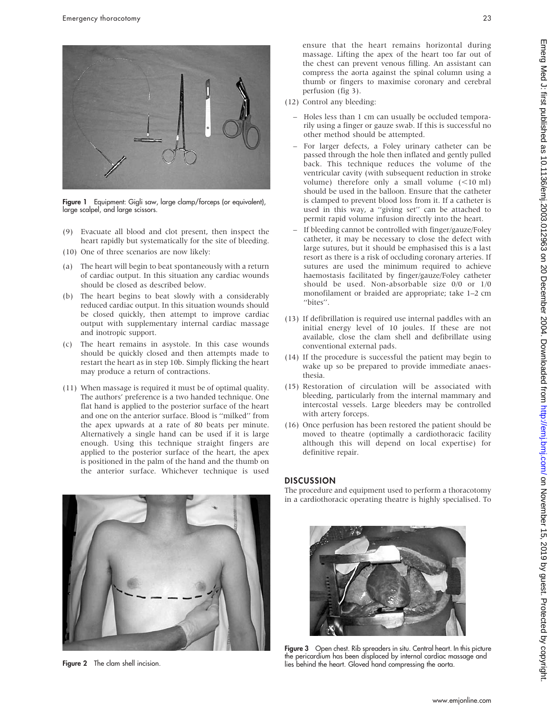

Figure 1 Equipment: Gigli saw, large clamp/forceps (or equivalent), large scalpel, and large scissors.

- (9) Evacuate all blood and clot present, then inspect the heart rapidly but systematically for the site of bleeding.
- (10) One of three scenarios are now likely:
- (a) The heart will begin to beat spontaneously with a return of cardiac output. In this situation any cardiac wounds should be closed as described below.
- (b) The heart begins to beat slowly with a considerably reduced cardiac output. In this situation wounds should be closed quickly, then attempt to improve cardiac output with supplementary internal cardiac massage and inotropic support.
- (c) The heart remains in asystole. In this case wounds should be quickly closed and then attempts made to restart the heart as in step 10b. Simply flicking the heart may produce a return of contractions.
- (11) When massage is required it must be of optimal quality. The authors' preference is a two handed technique. One flat hand is applied to the posterior surface of the heart and one on the anterior surface. Blood is ''milked'' from the apex upwards at a rate of 80 beats per minute. Alternatively a single hand can be used if it is large enough. Using this technique straight fingers are applied to the posterior surface of the heart, the apex is positioned in the palm of the hand and the thumb on the anterior surface. Whichever technique is used



Figure 2 The clam shell incision.

ensure that the heart remains horizontal during massage. Lifting the apex of the heart too far out of the chest can prevent venous filling. An assistant can compress the aorta against the spinal column using a thumb or fingers to maximise coronary and cerebral perfusion (fig 3).

- (12) Control any bleeding:
	- Holes less than 1 cm can usually be occluded temporarily using a finger or gauze swab. If this is successful no other method should be attempted.
	- For larger defects, a Foley urinary catheter can be passed through the hole then inflated and gently pulled back. This technique reduces the volume of the ventricular cavity (with subsequent reduction in stroke volume) therefore only a small volume  $(<10$  ml) should be used in the balloon. Ensure that the catheter is clamped to prevent blood loss from it. If a catheter is used in this way, a ''giving set'' can be attached to permit rapid volume infusion directly into the heart.
	- If bleeding cannot be controlled with finger/gauze/Foley catheter, it may be necessary to close the defect with large sutures, but it should be emphasised this is a last resort as there is a risk of occluding coronary arteries. If sutures are used the minimum required to achieve haemostasis facilitated by finger/gauze/Foley catheter should be used. Non-absorbable size 0/0 or 1/0 monofilament or braided are appropriate; take 1–2 cm "bites".
- (13) If defibrillation is required use internal paddles with an initial energy level of 10 joules. If these are not available, close the clam shell and defibrillate using conventional external pads.
- (14) If the procedure is successful the patient may begin to wake up so be prepared to provide immediate anaesthesia.
- (15) Restoration of circulation will be associated with bleeding, particularly from the internal mammary and intercostal vessels. Large bleeders may be controlled with artery forceps.
- (16) Once perfusion has been restored the patient should be moved to theatre (optimally a cardiothoracic facility although this will depend on local expertise) for definitive repair.

#### **DISCUSSION**

The procedure and equipment used to perform a thoracotomy in a cardiothoracic operating theatre is highly specialised. To



Figure 3 Open chest. Rib spreaders in situ. Central heart. In this picture the pericardium has been displaced by internal cardiac massage and lies behind the heart. Gloved hand compressing the aorta.